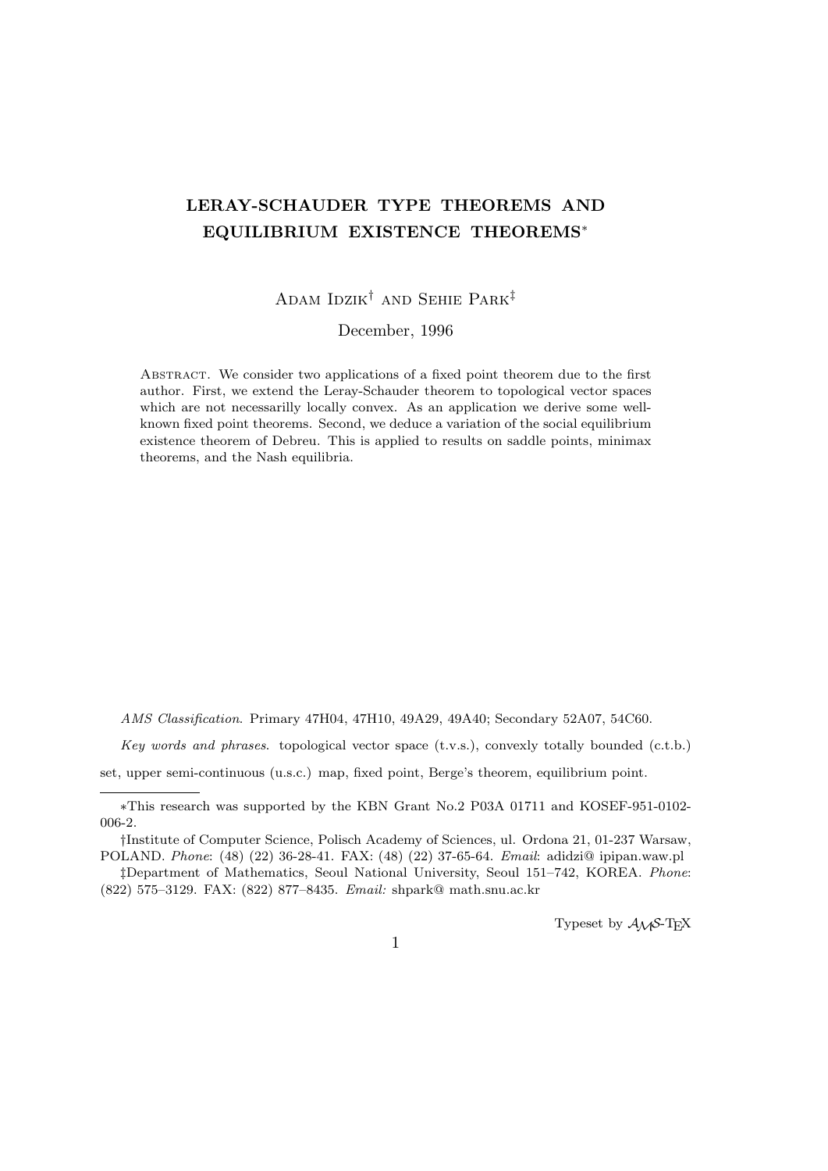# **LERAY-SCHAUDER TYPE THEOREMS AND EQUILIBRIUM EXISTENCE THEOREMS***<sup>∗</sup>*

## Adam Idzik*†* and Sehie Park*‡*

### December, 1996

Abstract. We consider two applications of a fixed point theorem due to the first author. First, we extend the Leray-Schauder theorem to topological vector spaces which are not necessarilly locally convex. As an application we derive some wellknown fixed point theorems. Second, we deduce a variation of the social equilibrium existence theorem of Debreu. This is applied to results on saddle points, minimax theorems, and the Nash equilibria.

*AMS Classification*. Primary 47H04, 47H10, 49A29, 49A40; Secondary 52A07, 54C60.

*Key words and phrases*. topological vector space (t.v.s.), convexly totally bounded (c.t.b.)

set, upper semi-continuous (u.s.c.) map, fixed point, Berge's theorem, equilibrium point.

Typeset by  $A_{\mathcal{M}}S$ -T<sub>E</sub>X

*<sup>∗</sup>*This research was supported by the KBN Grant No.2 P03A 01711 and KOSEF-951-0102- 006-2.

*<sup>†</sup>*Institute of Computer Science, Polisch Academy of Sciences, ul. Ordona 21, 01-237 Warsaw, POLAND. *Phone*: (48) (22) 36-28-41. FAX: (48) (22) 37-65-64. *Email*: adidzi@ ipipan.waw.pl

*<sup>‡</sup>*Department of Mathematics, Seoul National University, Seoul 151–742, KOREA. *Phone*: (822) 575–3129. FAX: (822) 877–8435. *Email:* shpark@ math.snu.ac.kr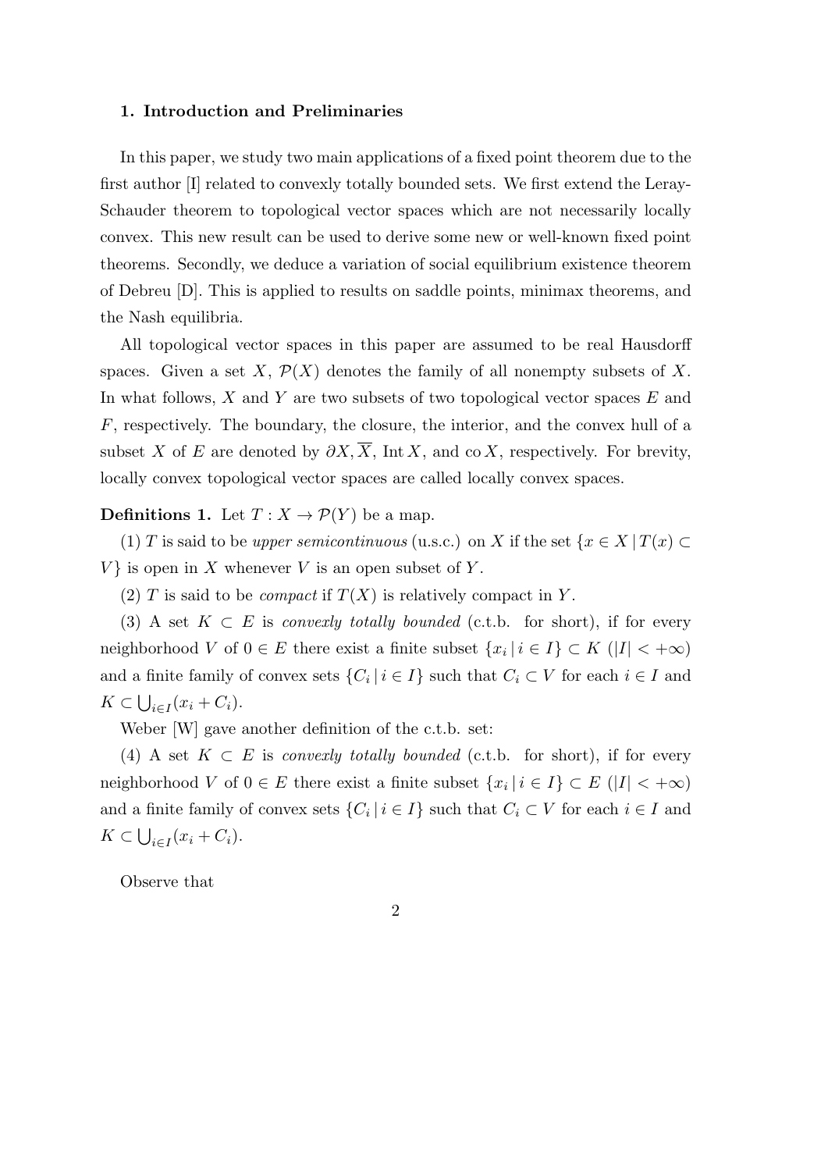### **1. Introduction and Preliminaries**

In this paper, we study two main applications of a fixed point theorem due to the first author [I] related to convexly totally bounded sets. We first extend the Leray-Schauder theorem to topological vector spaces which are not necessarily locally convex. This new result can be used to derive some new or well-known fixed point theorems. Secondly, we deduce a variation of social equilibrium existence theorem of Debreu [D]. This is applied to results on saddle points, minimax theorems, and the Nash equilibria.

All topological vector spaces in this paper are assumed to be real Hausdorff spaces. Given a set *X*,  $\mathcal{P}(X)$  denotes the family of all nonempty subsets of *X*. In what follows, *X* and *Y* are two subsets of two topological vector spaces *E* and *F*, respectively. The boundary, the closure, the interior, and the convex hull of a subset *X* of *E* are denoted by  $\partial X$ ,  $\overline{X}$ , Int *X*, and co *X*, respectively. For brevity, locally convex topological vector spaces are called locally convex spaces.

## **Definitions 1.** Let  $T: X \to \mathcal{P}(Y)$  be a map.

(1) *T* is said to be *upper semicontinuous* (u.s.c.) on *X* if the set  $\{x \in X | T(x) \subset$  $V$ } is open in *X* whenever *V* is an open subset of *Y*.

(2) *T* is said to be *compact* if  $T(X)$  is relatively compact in *Y*.

(3) A set  $K \subset E$  is *convexly totally bounded* (c.t.b. for short), if for every neighborhood *V* of  $0 \in E$  there exist a finite subset  $\{x_i \mid i \in I\} \subset K$  ( $|I| < +\infty$ ) and a finite family of convex sets  $\{C_i \mid i \in I\}$  such that  $C_i \subset V$  for each  $i \in I$  and  $K \subset \bigcup_{i \in I} (x_i + C_i).$ 

Weber [W] gave another definition of the c.t.b. set:

(4) A set  $K \subset E$  is *convexly totally bounded* (c.t.b. for short), if for every neighborhood *V* of  $0 \in E$  there exist a finite subset  $\{x_i \mid i \in I\} \subset E$  ( $|I| < +\infty$ ) and a finite family of convex sets  $\{C_i \mid i \in I\}$  such that  $C_i \subset V$  for each  $i \in I$  and  $K \subset \bigcup_{i \in I} (x_i + C_i).$ 

Observe that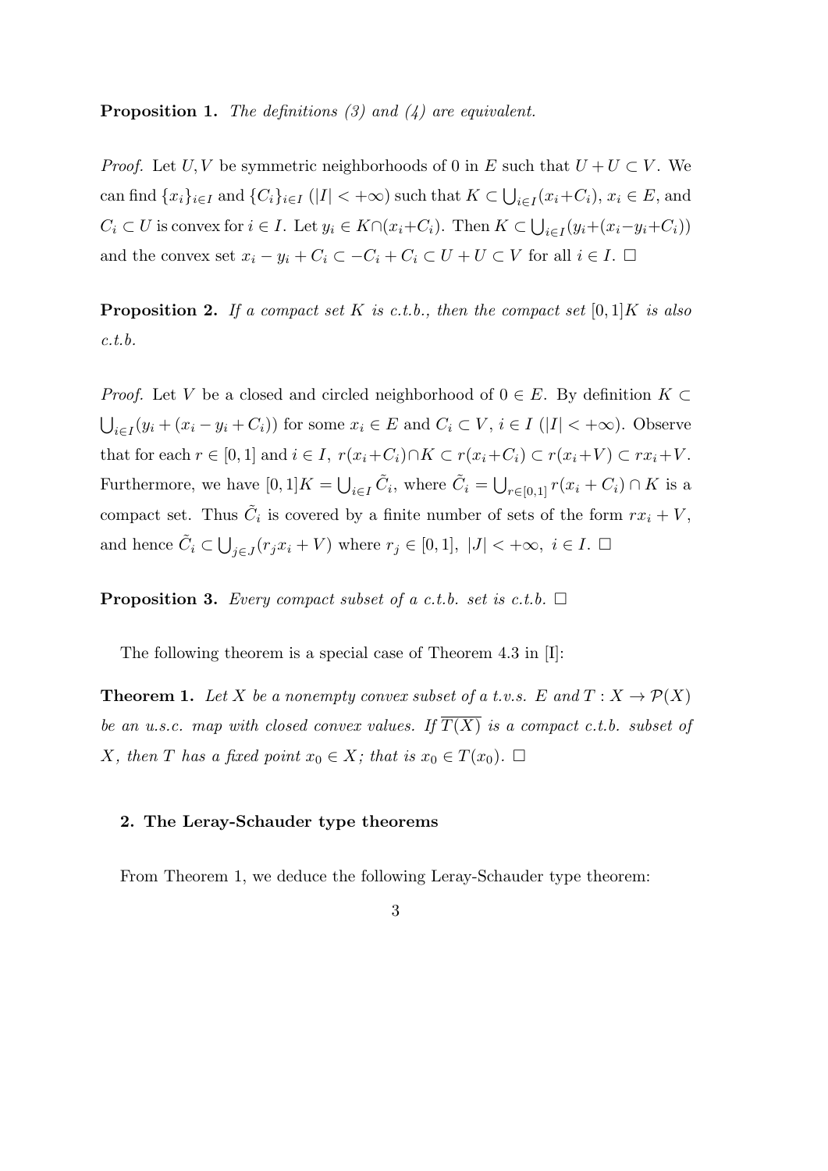**Proposition 1.** *The definitions (3) and (4) are equivalent.*

*Proof.* Let *U, V* be symmetric neighborhoods of 0 in *E* such that  $U + U \subset V$ . We can find  $\{x_i\}_{i\in I}$  and  $\{C_i\}_{i\in I}$  ( $|I| < +\infty$ ) such that  $K \subset \bigcup_{i\in I} (x_i+C_i)$ ,  $x_i \in E$ , and  $C_i \subset U$  is convex for  $i \in I$ . Let  $y_i \in K \cap (x_i + C_i)$ . Then  $K \subset \bigcup_{i \in I} (y_i + (x_i - y_i + C_i))$ and the convex set  $x_i - y_i + C_i \subset -C_i + C_i \subset U + U \subset V$  for all  $i \in I$ .  $\Box$ 

**Proposition 2.** *If a compact set K is c.t.b., then the compact set* [0*,* 1]*K is also c.t.b.*

*Proof.* Let *V* be a closed and circled neighborhood of  $0 \in E$ . By definition  $K \subset$  $\bigcup_{i\in I}(y_i+(x_i-y_i+C_i))$  for some  $x_i\in E$  and  $C_i\subset V$ ,  $i\in I$  ( $|I|<+\infty$ ). Observe that for each  $r \in [0,1]$  and  $i \in I$ ,  $r(x_i+C_i) \cap K \subset r(x_i+C_i) \subset r(x_i+V) \subset rx_i+V$ . Furthermore, we have  $[0,1]K = \bigcup_{i \in I} \tilde{C}_i$ , where  $\tilde{C}_i = \bigcup_{r \in [0,1]} r(x_i + C_i) \cap K$  is a compact set. Thus  $\tilde{C}_i$  is covered by a finite number of sets of the form  $rx_i + V$ , and hence  $\tilde{C}_i \subset \bigcup_{j \in J} (r_j x_i + V)$  where  $r_j \in [0,1], |J| < +\infty, i \in I$ .  $\Box$ 

**Proposition 3.** *Every compact subset of a c.t.b. set is c.t.b.*  $\Box$ 

The following theorem is a special case of Theorem 4.3 in [I]:

**Theorem 1.** Let *X* be a nonempty convex subset of a t.v.s.  $E$  and  $T: X \to \mathcal{P}(X)$ *be an u.s.c. map with closed convex values. If*  $\overline{T(X)}$  *is a compact c.t.b. subset of X, then T has a fixed point*  $x_0 \in X$ *; that is*  $x_0 \in T(x_0)$ *.*  $\Box$ 

## **2. The Leray-Schauder type theorems**

From Theorem 1, we deduce the following Leray-Schauder type theorem:

## 3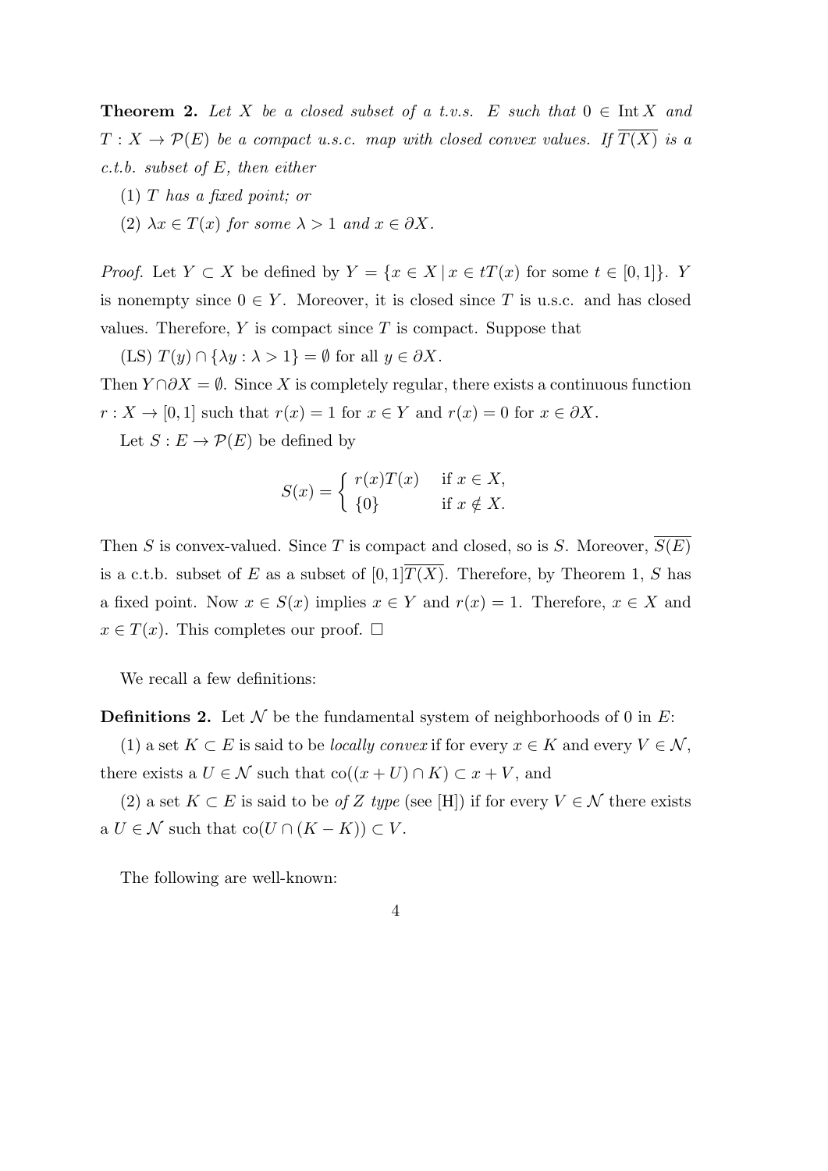**Theorem 2.** Let *X* be a closed subset of a t.v.s.  $E$  such that  $0 \in \text{Int } X$  and  $T: X \to \mathcal{P}(E)$  *be a compact u.s.c. map with closed convex values. If*  $\overline{T(X)}$  *is a c.t.b. subset of E, then either*

- (1) *T has a fixed point; or*
- (2)  $\lambda x \in T(x)$  for some  $\lambda > 1$  and  $x \in \partial X$ .

*Proof.* Let  $Y \subset X$  be defined by  $Y = \{x \in X \mid x \in tT(x) \text{ for some } t \in [0,1]\}.$  *Y* is nonempty since  $0 \in Y$ . Moreover, it is closed since *T* is u.s.c. and has closed values. Therefore,  $Y$  is compact since  $T$  is compact. Suppose that

 $(TS) T(y) \cap {\lambda y : \lambda > 1} = \emptyset$  for all  $y \in \partial X$ .

Then  $Y \cap \partial X = \emptyset$ . Since X is completely regular, there exists a continuous function  $r: X \to [0,1]$  such that  $r(x) = 1$  for  $x \in Y$  and  $r(x) = 0$  for  $x \in \partial X$ .

Let  $S: E \to \mathcal{P}(E)$  be defined by

$$
S(x) = \begin{cases} r(x)T(x) & \text{if } x \in X, \\ \{0\} & \text{if } x \notin X. \end{cases}
$$

Then *S* is convex-valued. Since *T* is compact and closed, so is *S*. Moreover,  $\overline{S(E)}$ is a c.t.b. subset of *E* as a subset of  $[0,1]\overline{T(X)}$ . Therefore, by Theorem 1, *S* has a fixed point. Now  $x \in S(x)$  implies  $x \in Y$  and  $r(x) = 1$ . Therefore,  $x \in X$  and  $x \in T(x)$ . This completes our proof.  $\square$ 

We recall a few definitions:

**Definitions 2.** Let *N* be the fundamental system of neighborhoods of 0 in *E*:

(1) a set *K* ⊂ *E* is said to be *locally convex* if for every  $x \in K$  and every  $V \in \mathcal{N}$ , there exists a  $U \in \mathcal{N}$  such that  $\text{co}((x+U) \cap K) \subset x+V$ , and

(2) a set  $K \subset E$  is said to be *of Z type* (see [H]) if for every  $V \in \mathcal{N}$  there exists  $A \cup U \in \mathcal{N}$  such that  $co(U \cap (K - K)) \subset V$ .

The following are well-known: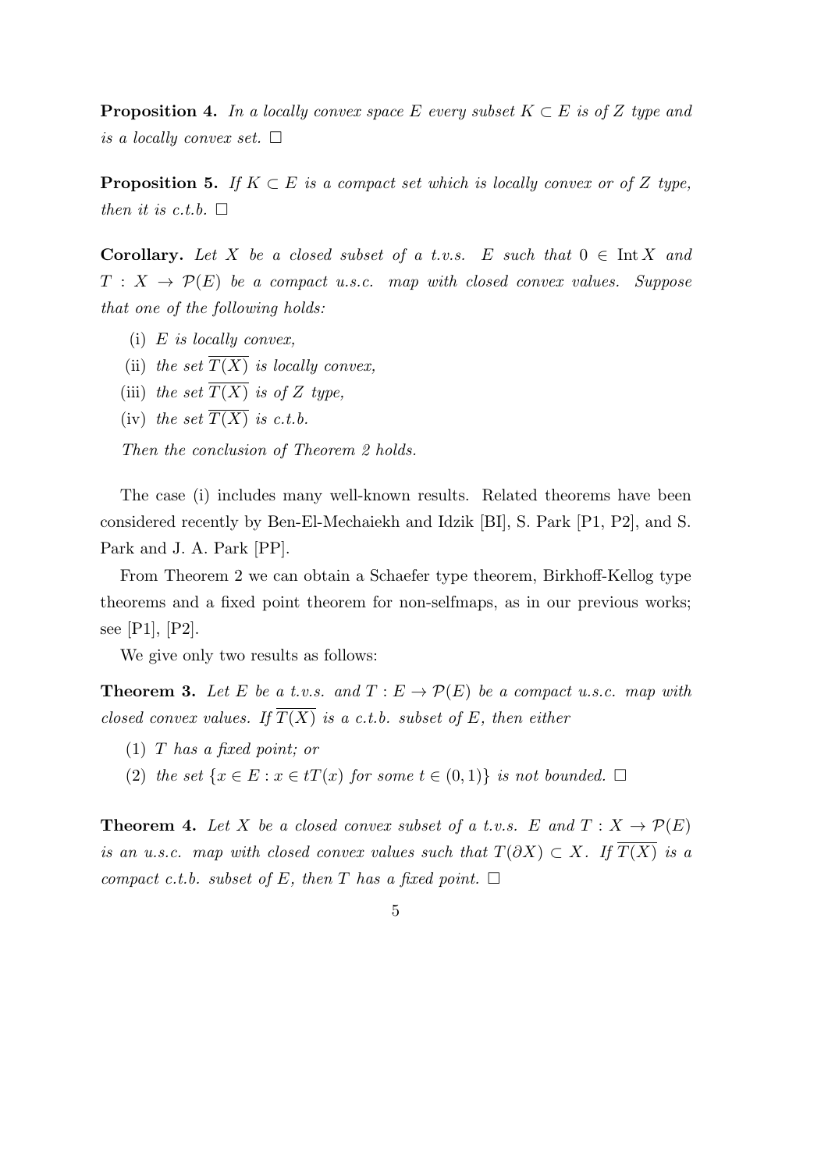**Proposition 4.** In a locally convex space  $E$  every subset  $K \subset E$  is of  $Z$  type and *is a locally convex set.*

**Proposition 5.** *If*  $K \subset E$  *is a compact set which is locally convex or of*  $Z$  *type, then it is c.t.b.*  $\Box$ 

**Corollary.** Let *X* be a closed subset of a t.v.s.  $E$  such that  $0 \in \text{Int } X$  and  $T : X \rightarrow \mathcal{P}(E)$  *be a compact u.s.c. map with closed convex values. Suppose that one of the following holds:*

- (i) *E is locally convex,*
- (ii) *the set*  $\overline{T(X)}$  *is locally convex,*
- (iii) *the set*  $\overline{T(X)}$  *is of Z type*,
- (iv) the set  $\overline{T(X)}$  is c.t.b.

*Then the conclusion of Theorem 2 holds.*

The case (i) includes many well-known results. Related theorems have been considered recently by Ben-El-Mechaiekh and Idzik [BI], S. Park [P1, P2], and S. Park and J. A. Park [PP].

From Theorem 2 we can obtain a Schaefer type theorem, Birkhoff-Kellog type theorems and a fixed point theorem for non-selfmaps, as in our previous works; see [P1], [P2].

We give only two results as follows:

**Theorem 3.** Let E be a t.v.s. and  $T: E \to \mathcal{P}(E)$  be a compact u.s.c. map with *closed convex values. If*  $\overline{T(X)}$  *is a c.t.b. subset of E, then either* 

- (1) *T has a fixed point; or*
- (2) *the set*  $\{x \in E : x \in tT(x) \text{ for some } t \in (0,1)\}$  *is not bounded.*  $\square$

**Theorem 4.** Let *X* be a closed convex subset of a t.v.s. *E* and  $T: X \to \mathcal{P}(E)$ *is an u.s.c. map with closed convex values such that*  $T(\partial X) \subset X$ *. If*  $\overline{T(X)}$  *is a compact c.t.b. subset of*  $E$ *, then*  $T$  *has a fixed point.*  $\Box$ 

5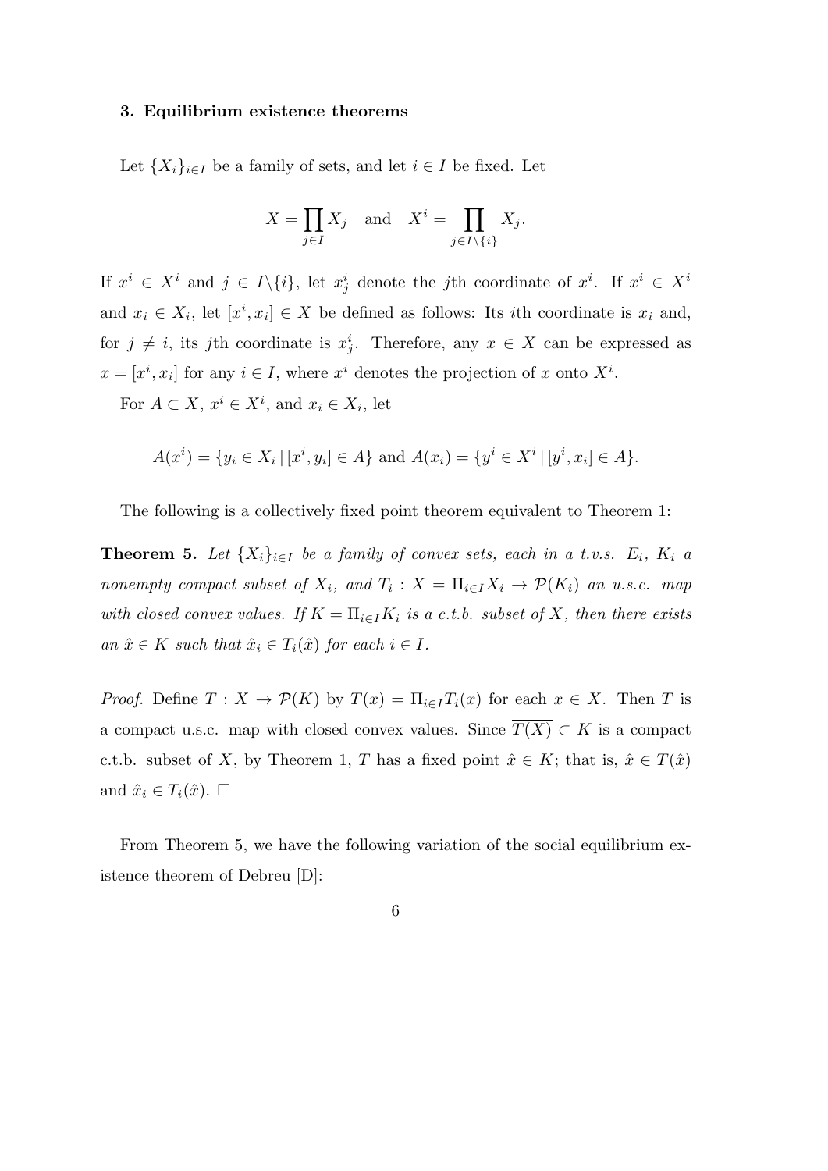#### **3. Equilibrium existence theorems**

Let  ${X_i}_{i \in I}$  be a family of sets, and let  $i \in I$  be fixed. Let

$$
X = \prod_{j \in I} X_j \quad \text{and} \quad X^i = \prod_{j \in I \setminus \{i\}} X_j.
$$

If  $x^i \in X^i$  and  $j \in I \setminus \{i\}$ , let  $x_j^i$  denote the j<sup>th</sup> coordinate of  $x^i$ . If  $x^i \in X^i$ and  $x_i \in X_i$ , let  $[x^i, x_i] \in X$  be defined as follows: Its *i*th coordinate is  $x_i$  and, for  $j \neq i$ , its *j*th coordinate is  $x_j^i$ . Therefore, any  $x \in X$  can be expressed as  $x = [x^i, x_i]$  for any  $i \in I$ , where  $x^i$  denotes the projection of *x* onto  $X^i$ .

For  $A \subset X$ ,  $x^i \in X^i$ , and  $x_i \in X_i$ , let

$$
A(x^{i}) = \{ y_{i} \in X_{i} \, | \, [x^{i}, y_{i}] \in A \} \text{ and } A(x_{i}) = \{ y^{i} \in X^{i} \, | \, [y^{i}, x_{i}] \in A \}.
$$

The following is a collectively fixed point theorem equivalent to Theorem 1:

**Theorem 5.** Let  $\{X_i\}_{i\in I}$  be a family of convex sets, each in a t.v.s.  $E_i$ ,  $K_i$  a *nonempty compact subset of*  $X_i$ , and  $T_i$ :  $X = \prod_{i \in I} X_i \rightarrow \mathcal{P}(K_i)$  an u.s.c. map *with closed convex values.* If  $K = \prod_{i \in I} K_i$  is a c.t.b. subset of X, then there exists  $an \hat{x} \in K$  *such that*  $\hat{x}_i \in T_i(\hat{x})$  *for each*  $i \in I$ *.* 

*Proof.* Define  $T: X \to \mathcal{P}(K)$  by  $T(x) = \prod_{i \in I} T_i(x)$  for each  $x \in X$ . Then *T* is a compact u.s.c. map with closed convex values. Since  $\overline{T(X)} \subset K$  is a compact c.t.b. subset of *X*, by Theorem 1, *T* has a fixed point  $\hat{x} \in K$ ; that is,  $\hat{x} \in T(\hat{x})$ and  $\hat{x}_i \in T_i(\hat{x})$ .  $\Box$ 

From Theorem 5, we have the following variation of the social equilibrium existence theorem of Debreu [D]:

6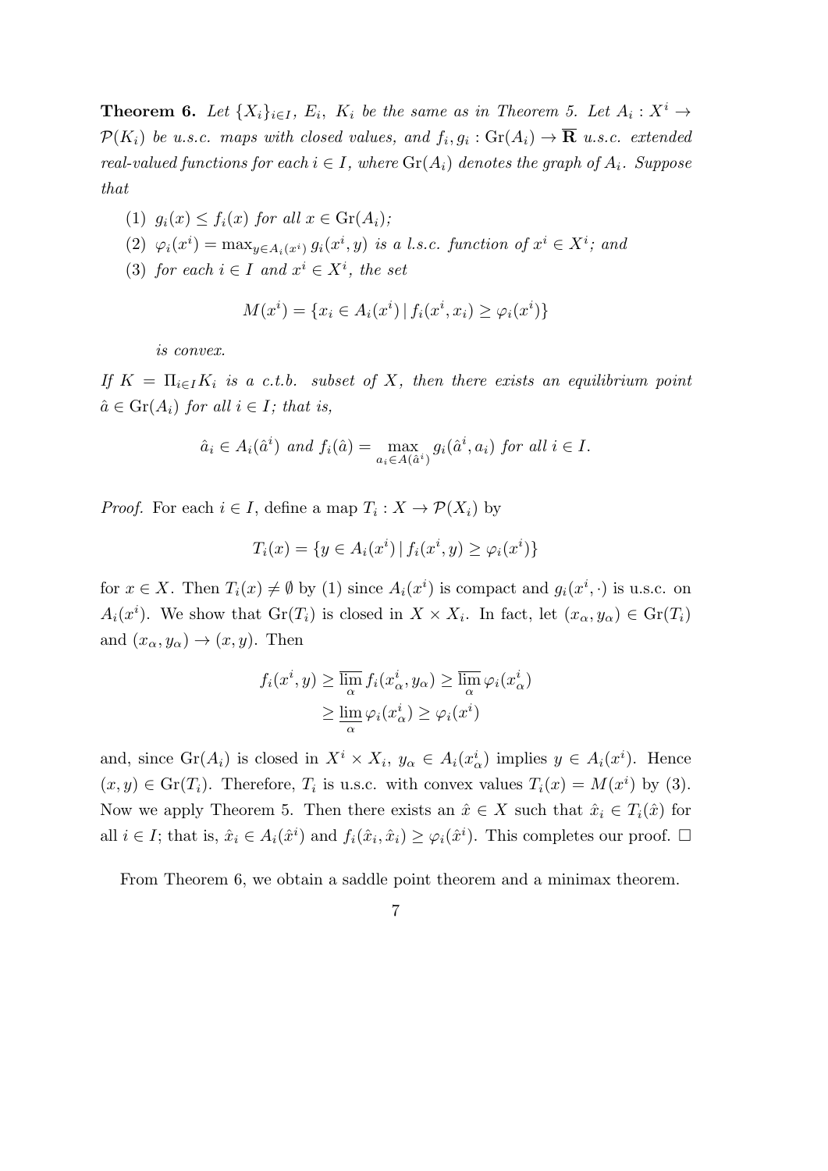**Theorem 6.** Let  $\{X_i\}_{i\in I}$ ,  $E_i$ ,  $K_i$  be the same as in Theorem 5. Let  $A_i: X^i \to$  $\mathcal{P}(K_i)$  *be u.s.c. maps with closed values, and*  $f_i, g_i : \text{Gr}(A_i) \to \mathbf{R}$  *u.s.c. extended real-valued functions for each*  $i \in I$ , where  $\text{Gr}(A_i)$  *denotes the graph of*  $A_i$ . Suppose *that*

- (1)  $g_i(x) \leq f_i(x)$  for all  $x \in \text{Gr}(A_i)$ ;
- (2)  $\varphi_i(x^i) = \max_{y \in A_i(x^i)} g_i(x^i, y)$  is a l.s.c. function of  $x^i \in X^i$ ; and
- (3) *for each*  $i \in I$  *and*  $x^i \in X^i$ *, the set*

$$
M(x^{i}) = \{x_{i} \in A_{i}(x^{i}) \mid f_{i}(x^{i}, x_{i}) \geq \varphi_{i}(x^{i})\}
$$

*is convex.*

*If*  $K = \prod_{i \in I} K_i$  *is a c.t.b. subset of X, then there exists an equilibrium point*  $\hat{a} \in \text{Gr}(A_i)$  *for all*  $i \in I$ *; that is,* 

$$
\hat{a}_i \in A_i(\hat{a}^i) \text{ and } f_i(\hat{a}) = \max_{a_i \in A(\hat{a}^i)} g_i(\hat{a}^i, a_i) \text{ for all } i \in I.
$$

*Proof.* For each  $i \in I$ , define a map  $T_i : X \to \mathcal{P}(X_i)$  by

$$
T_i(x) = \{ y \in A_i(x^i) \, | \, f_i(x^i, y) \ge \varphi_i(x^i) \}
$$

for  $x \in X$ . Then  $T_i(x) \neq \emptyset$  by (1) since  $A_i(x^i)$  is compact and  $g_i(x^i, \cdot)$  is u.s.c. on  $A_i(x^i)$ . We show that  $\text{Gr}(T_i)$  is closed in  $X \times X_i$ . In fact, let  $(x_\alpha, y_\alpha) \in \text{Gr}(T_i)$ and  $(x_{\alpha}, y_{\alpha}) \rightarrow (x, y)$ . Then

$$
f_i(x^i, y) \ge \overline{\lim_{\alpha}} f_i(x^i_{\alpha}, y_{\alpha}) \ge \overline{\lim_{\alpha}} \varphi_i(x^i_{\alpha})
$$
  

$$
\ge \underline{\lim_{\alpha}} \varphi_i(x^i_{\alpha}) \ge \varphi_i(x^i)
$$

and, since  $\text{Gr}(A_i)$  is closed in  $X^i \times X_i$ ,  $y_\alpha \in A_i(x_\alpha^i)$  implies  $y \in A_i(x^i)$ . Hence  $(x, y) \in \text{Gr}(T_i)$ . Therefore,  $T_i$  is u.s.c. with convex values  $T_i(x) = M(x^i)$  by (3). Now we apply Theorem 5. Then there exists an  $\hat{x} \in X$  such that  $\hat{x}_i \in T_i(\hat{x})$  for all  $i \in I$ ; that is,  $\hat{x}_i \in A_i(\hat{x}^i)$  and  $f_i(\hat{x}_i, \hat{x}_i) \geq \varphi_i(\hat{x}^i)$ . This completes our proof.  $\Box$ 

From Theorem 6, we obtain a saddle point theorem and a minimax theorem.

7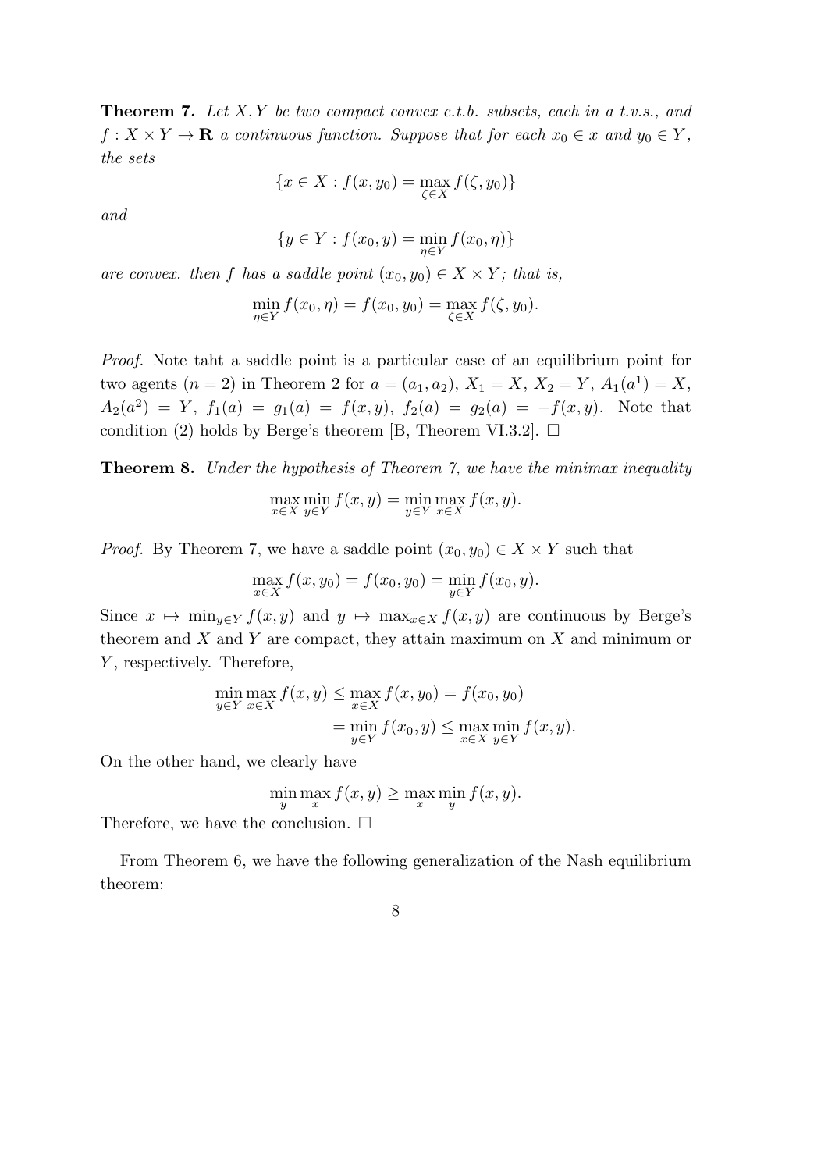**Theorem 7.** *Let X, Y be two compact convex c.t.b. subsets, each in a t.v.s., and*  $f: X \times Y \to \overline{\mathbf{R}}$  *a continuous function. Suppose that for each*  $x_0 \in x$  *and*  $y_0 \in Y$ , *the sets*

$$
\{x \in X : f(x, y_0) = \max_{\zeta \in X} f(\zeta, y_0)\}
$$

*and*

$$
\{y \in Y : f(x_0, y) = \min_{\eta \in Y} f(x_0, \eta)\}
$$

*are convex. then f has a saddle point*  $(x_0, y_0) \in X \times Y$ ; *that is,* 

$$
\min_{\eta \in Y} f(x_0, \eta) = f(x_0, y_0) = \max_{\zeta \in X} f(\zeta, y_0).
$$

*Proof.* Note taht a saddle point is a particular case of an equilibrium point for two agents  $(n = 2)$  in Theorem 2 for  $a = (a_1, a_2), X_1 = X, X_2 = Y, A_1(a^1) = X$ ,  $A_2(a^2) = Y$ ,  $f_1(a) = g_1(a) = f(x, y)$ ,  $f_2(a) = g_2(a) = -f(x, y)$ . Note that condition (2) holds by Berge's theorem [B, Theorem VI.3.2].  $\Box$ 

**Theorem 8.** *Under the hypothesis of Theorem 7, we have the minimax inequality*

$$
\max_{x \in X} \min_{y \in Y} f(x, y) = \min_{y \in Y} \max_{x \in X} f(x, y).
$$

*Proof.* By Theorem 7, we have a saddle point  $(x_0, y_0) \in X \times Y$  such that

$$
\max_{x \in X} f(x, y_0) = f(x_0, y_0) = \min_{y \in Y} f(x_0, y).
$$

Since  $x \mapsto \min_{y \in Y} f(x, y)$  and  $y \mapsto \max_{x \in X} f(x, y)$  are continuous by Berge's theorem and *X* and *Y* are compact, they attain maximum on *X* and minimum or *Y* , respectively. Therefore,

$$
\min_{y \in Y} \max_{x \in X} f(x, y) \le \max_{x \in X} f(x, y_0) = f(x_0, y_0)
$$

$$
= \min_{y \in Y} f(x_0, y) \le \max_{x \in X} \min_{y \in Y} f(x, y).
$$

On the other hand, we clearly have

$$
\min_{y} \max_{x} f(x, y) \ge \max_{x} \min_{y} f(x, y).
$$

Therefore, we have the conclusion.  $\square$ 

From Theorem 6, we have the following generalization of the Nash equilibrium theorem:

8